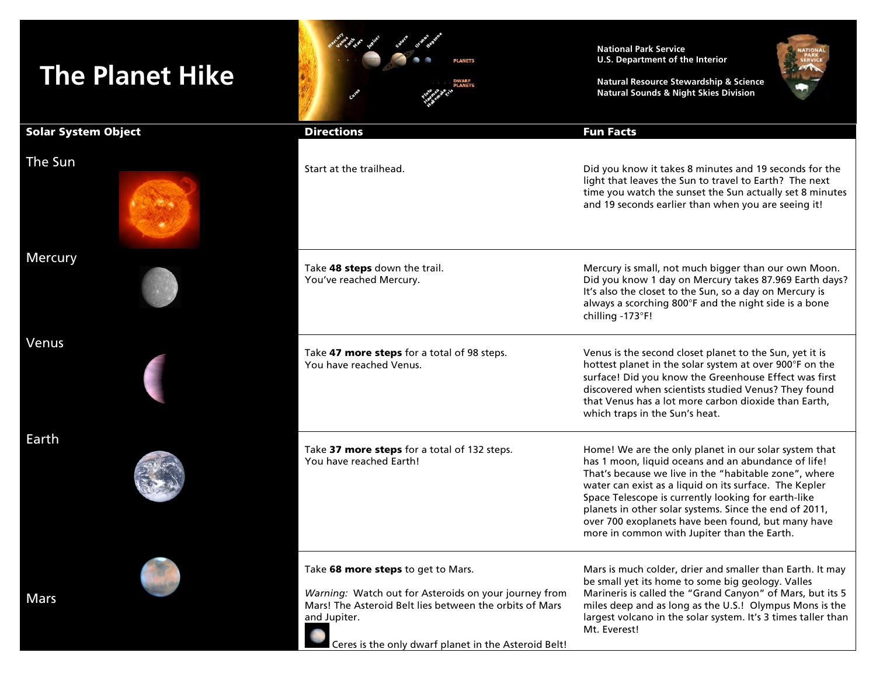## **The Planet Hike**

Earth



## **National Park Service U.S. Department of the Interior**

**Natural Resource Stewardship & Science Natural Sounds & Night Skies Division**



| Solar System Object | <b>Directions</b>                                                                                                                                                                                                              | <b>Fun Facts</b>                                                                                                                                                                                                                                                                                                                                                                                                                                      |  |
|---------------------|--------------------------------------------------------------------------------------------------------------------------------------------------------------------------------------------------------------------------------|-------------------------------------------------------------------------------------------------------------------------------------------------------------------------------------------------------------------------------------------------------------------------------------------------------------------------------------------------------------------------------------------------------------------------------------------------------|--|
| <b>The Sun</b>      | Start at the trailhead.                                                                                                                                                                                                        | Did you know it takes 8 minutes and 19 seconds for the<br>light that leaves the Sun to travel to Earth? The next<br>time you watch the sunset the Sun actually set 8 minutes<br>and 19 seconds earlier than when you are seeing it!                                                                                                                                                                                                                   |  |
| Mercury             | Take 48 steps down the trail.<br>You've reached Mercury.                                                                                                                                                                       | Mercury is small, not much bigger than our own Moon.<br>Did you know 1 day on Mercury takes 87.969 Earth days?<br>It's also the closet to the Sun, so a day on Mercury is<br>always a scorching 800°F and the night side is a bone<br>chilling -173°F!                                                                                                                                                                                                |  |
| Venus               | Take 47 more steps for a total of 98 steps.<br>You have reached Venus.                                                                                                                                                         | Venus is the second closet planet to the Sun, yet it is<br>hottest planet in the solar system at over 900°F on the<br>surface! Did you know the Greenhouse Effect was first<br>discovered when scientists studied Venus? They found<br>that Venus has a lot more carbon dioxide than Earth,<br>which traps in the Sun's heat.                                                                                                                         |  |
| <u>Earth</u>        | Take 37 more steps for a total of 132 steps.<br>You have reached Earth!                                                                                                                                                        | Home! We are the only planet in our solar system that<br>has 1 moon, liquid oceans and an abundance of life!<br>That's because we live in the "habitable zone", where<br>water can exist as a liquid on its surface. The Kepler<br>Space Telescope is currently looking for earth-like<br>planets in other solar systems. Since the end of 2011,<br>over 700 exoplanets have been found, but many have<br>more in common with Jupiter than the Earth. |  |
| Mars                | Take 68 more steps to get to Mars.<br>Warning: Watch out for Asteroids on your journey from<br>Mars! The Asteroid Belt lies between the orbits of Mars<br>and Jupiter.<br>Ceres is the only dwarf planet in the Asteroid Belt! | Mars is much colder, drier and smaller than Earth. It may<br>be small yet its home to some big geology. Valles<br>Marineris is called the "Grand Canyon" of Mars, but its 5<br>miles deep and as long as the U.S.! Olympus Mons is the<br>largest volcano in the solar system. It's 3 times taller than<br>Mt. Everest!                                                                                                                               |  |